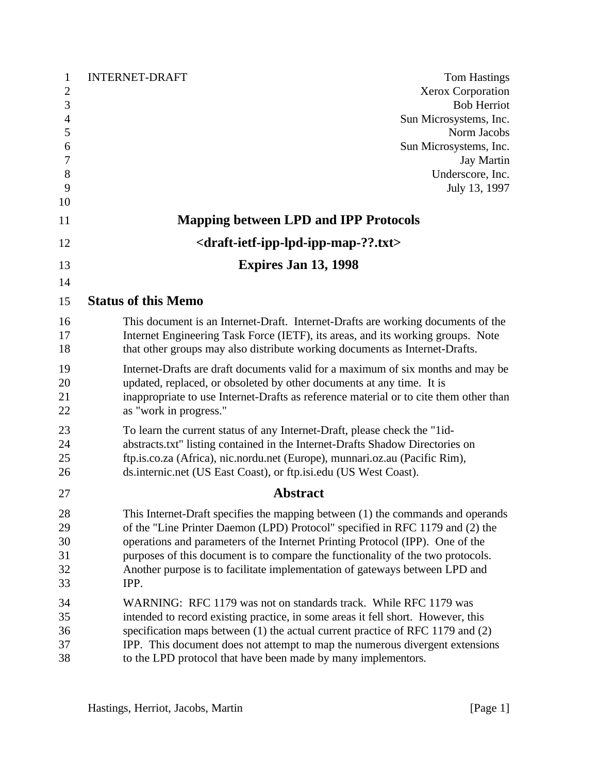| $\mathbf{1}$   | <b>INTERNET-DRAFT</b><br><b>Tom Hastings</b>                                                                                                                       |
|----------------|--------------------------------------------------------------------------------------------------------------------------------------------------------------------|
| $\mathbf{2}$   | Xerox Corporation                                                                                                                                                  |
| 3              | <b>Bob Herriot</b>                                                                                                                                                 |
| $\overline{4}$ | Sun Microsystems, Inc.                                                                                                                                             |
| 5              | Norm Jacobs                                                                                                                                                        |
| 6              | Sun Microsystems, Inc.                                                                                                                                             |
| 7<br>8         | <b>Jay Martin</b><br>Underscore, Inc.                                                                                                                              |
| 9              | July 13, 1997                                                                                                                                                      |
| 10             |                                                                                                                                                                    |
| 11             | <b>Mapping between LPD and IPP Protocols</b>                                                                                                                       |
| 12             | <draft-ietf-ipp-lpd-ipp-map-??.txt></draft-ietf-ipp-lpd-ipp-map-??.txt>                                                                                            |
| 13             | <b>Expires Jan 13, 1998</b>                                                                                                                                        |
| 14             |                                                                                                                                                                    |
| 15             | <b>Status of this Memo</b>                                                                                                                                         |
| 16             | This document is an Internet-Draft. Internet-Drafts are working documents of the                                                                                   |
| 17             | Internet Engineering Task Force (IETF), its areas, and its working groups. Note                                                                                    |
| 18             | that other groups may also distribute working documents as Internet-Drafts.                                                                                        |
| 19             | Internet-Drafts are draft documents valid for a maximum of six months and may be                                                                                   |
| 20             | updated, replaced, or obsoleted by other documents at any time. It is                                                                                              |
| 21             | inappropriate to use Internet-Drafts as reference material or to cite them other than                                                                              |
| 22             | as "work in progress."                                                                                                                                             |
| 23             | To learn the current status of any Internet-Draft, please check the "1id-                                                                                          |
| 24             | abstracts.txt" listing contained in the Internet-Drafts Shadow Directories on                                                                                      |
| 25             | ftp.is.co.za (Africa), nic.nordu.net (Europe), munnari.oz.au (Pacific Rim),                                                                                        |
| 26             | ds.internic.net (US East Coast), or ftp.isi.edu (US West Coast).                                                                                                   |
| 27             | <b>Abstract</b>                                                                                                                                                    |
| 28             | This Internet-Draft specifies the mapping between (1) the commands and operands                                                                                    |
| 29             | of the "Line Printer Daemon (LPD) Protocol" specified in RFC 1179 and (2) the                                                                                      |
| 30             | operations and parameters of the Internet Printing Protocol (IPP). One of the                                                                                      |
| 31             | purposes of this document is to compare the functionality of the two protocols.                                                                                    |
| 32             | Another purpose is to facilitate implementation of gateways between LPD and<br>IPP.                                                                                |
| 33             |                                                                                                                                                                    |
| 34             | WARNING: RFC 1179 was not on standards track. While RFC 1179 was                                                                                                   |
| 35             | intended to record existing practice, in some areas it fell short. However, this                                                                                   |
| 36<br>37       | specification maps between $(1)$ the actual current practice of RFC 1179 and $(2)$<br>IPP. This document does not attempt to map the numerous divergent extensions |
| 38             | to the LPD protocol that have been made by many implementors.                                                                                                      |
|                |                                                                                                                                                                    |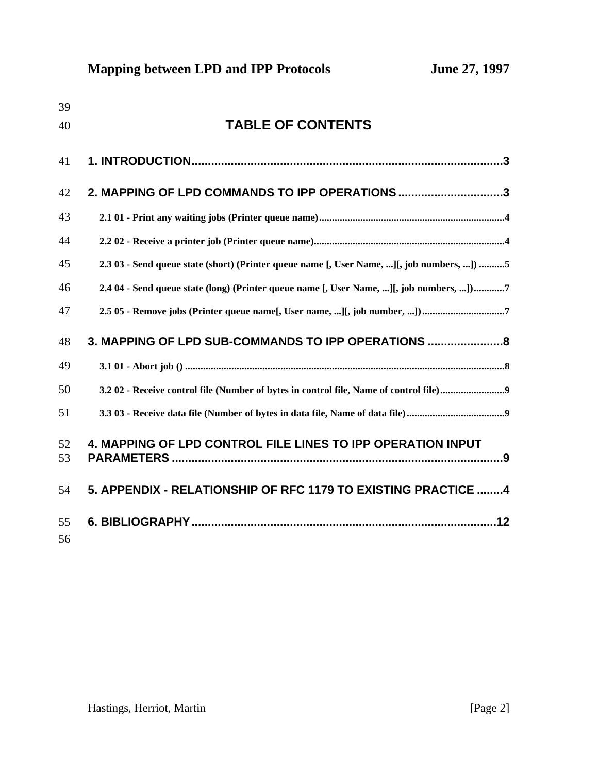| <b>TABLE OF CONTENTS</b>                                                                  |
|-------------------------------------------------------------------------------------------|
|                                                                                           |
| 2. MAPPING OF LPD COMMANDS TO IPP OPERATIONS 3                                            |
|                                                                                           |
|                                                                                           |
| 2.3 03 - Send queue state (short) (Printer queue name [, User Name, ][, job numbers, ]) 5 |
| 2.4 04 - Send queue state (long) (Printer queue name [, User Name, ][, job numbers, ])7   |
| 2.5 05 - Remove jobs (Printer queue name[, User name, ][, job number, ]) 7                |
| 3. MAPPING OF LPD SUB-COMMANDS TO IPP OPERATIONS                                          |
|                                                                                           |
| 3.202 - Receive control file (Number of bytes in control file, Name of control file)      |
|                                                                                           |
| 4. MAPPING OF LPD CONTROL FILE LINES TO IPP OPERATION INPUT                               |
| 5. APPENDIX - RELATIONSHIP OF RFC 1179 TO EXISTING PRACTICE 4                             |
|                                                                                           |
|                                                                                           |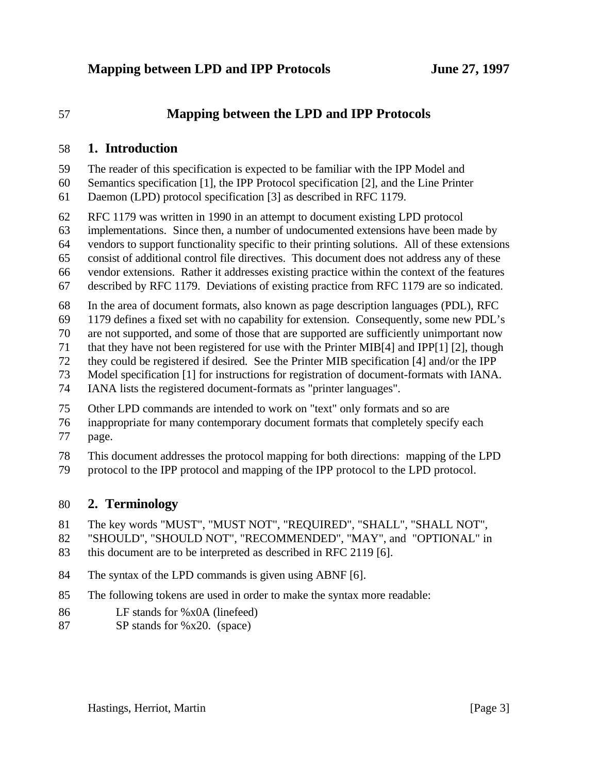#### **Mapping between the LPD and IPP Protocols**

#### **1. Introduction**

- The reader of this specification is expected to be familiar with the IPP Model and
- Semantics specification [1], the IPP Protocol specification [2], and the Line Printer
- Daemon (LPD) protocol specification [3] as described in RFC 1179.
- RFC 1179 was written in 1990 in an attempt to document existing LPD protocol
- implementations. Since then, a number of undocumented extensions have been made by
- vendors to support functionality specific to their printing solutions. All of these extensions
- consist of additional control file directives. This document does not address any of these
- vendor extensions. Rather it addresses existing practice within the context of the features
- described by RFC 1179. Deviations of existing practice from RFC 1179 are so indicated.
- In the area of document formats, also known as page description languages (PDL), RFC
- 1179 defines a fixed set with no capability for extension. Consequently, some new PDL's
- are not supported, and some of those that are supported are sufficiently unimportant now
- that they have not been registered for use with the Printer MIB[4] and IPP[1] [2], though
- they could be registered if desired. See the Printer MIB specification [4] and/or the IPP
- Model specification [1] for instructions for registration of document-formats with IANA.
- IANA lists the registered document-formats as "printer languages".
- Other LPD commands are intended to work on "text" only formats and so are
- inappropriate for many contemporary document formats that completely specify each
- page.
- This document addresses the protocol mapping for both directions: mapping of the LPD
- protocol to the IPP protocol and mapping of the IPP protocol to the LPD protocol.

## **2. Terminology**

- The key words "MUST", "MUST NOT", "REQUIRED", "SHALL", "SHALL NOT",
- "SHOULD", "SHOULD NOT", "RECOMMENDED", "MAY", and "OPTIONAL" in
- this document are to be interpreted as described in RFC 2119 [6].
- The syntax of the LPD commands is given using ABNF [6].
- The following tokens are used in order to make the syntax more readable:
- LF stands for %x0A (linefeed)
- SP stands for %x20. (space)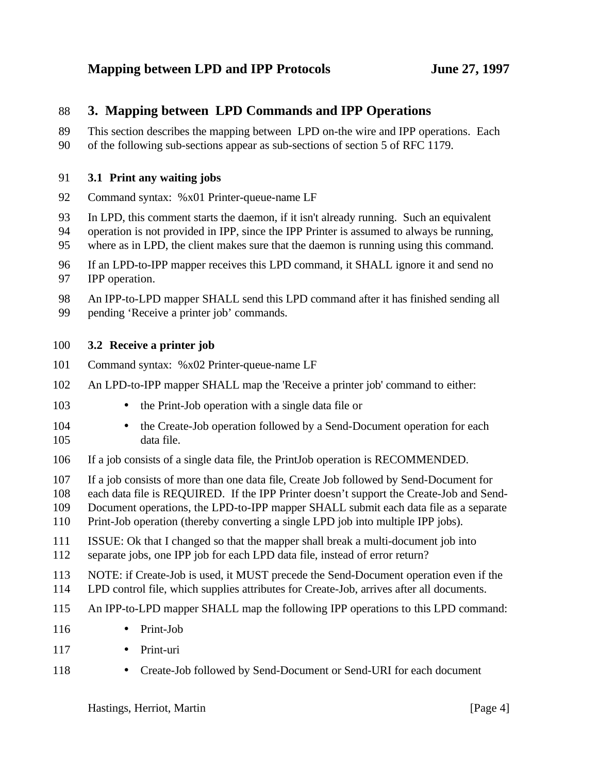#### **3. Mapping between LPD Commands and IPP Operations**

- This section describes the mapping between LPD on-the wire and IPP operations. Each
- of the following sub-sections appear as sub-sections of section 5 of RFC 1179.

#### **3.1 Print any waiting jobs**

- Command syntax: %x01 Printer-queue-name LF
- In LPD, this comment starts the daemon, if it isn't already running. Such an equivalent
- operation is not provided in IPP, since the IPP Printer is assumed to always be running,
- where as in LPD, the client makes sure that the daemon is running using this command.
- If an LPD-to-IPP mapper receives this LPD command, it SHALL ignore it and send no IPP operation.

An IPP-to-LPD mapper SHALL send this LPD command after it has finished sending all

- pending 'Receive a printer job' commands.
- **3.2 Receive a printer job**
- Command syntax: %x02 Printer-queue-name LF
- An LPD-to-IPP mapper SHALL map the 'Receive a printer job' command to either:
- the Print-Job operation with a single data file or
- the Create-Job operation followed by a Send-Document operation for each data file.
- If a job consists of a single data file, the PrintJob operation is RECOMMENDED.
- If a job consists of more than one data file, Create Job followed by Send-Document for
- each data file is REQUIRED. If the IPP Printer doesn't support the Create-Job and Send-
- Document operations, the LPD-to-IPP mapper SHALL submit each data file as a separate
- Print-Job operation (thereby converting a single LPD job into multiple IPP jobs).
- ISSUE: Ok that I changed so that the mapper shall break a multi-document job into separate jobs, one IPP job for each LPD data file, instead of error return?
- NOTE: if Create-Job is used, it MUST precede the Send-Document operation even if the
- LPD control file, which supplies attributes for Create-Job, arrives after all documents.
- An IPP-to-LPD mapper SHALL map the following IPP operations to this LPD command:
- Print-Job
- Print-uri
- 118 Create-Job followed by Send-Document or Send-URI for each document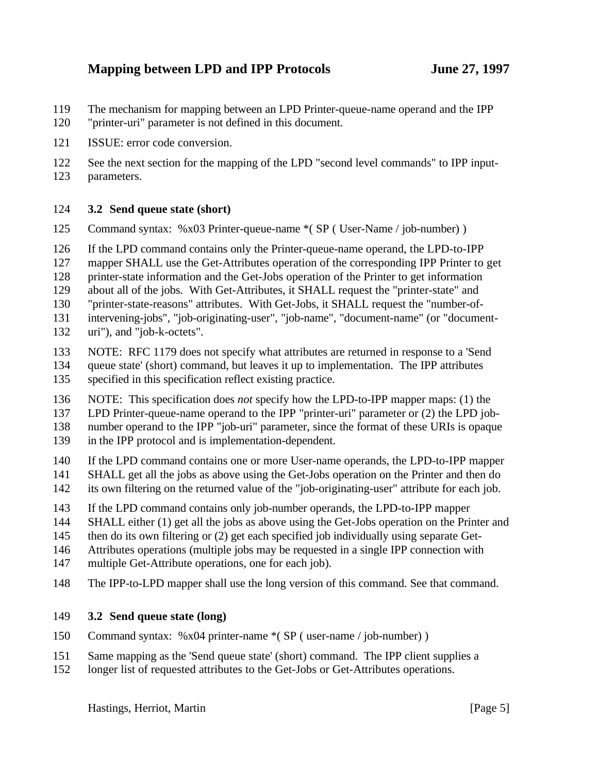- The mechanism for mapping between an LPD Printer-queue-name operand and the IPP
- "printer-uri" parameter is not defined in this document.
- ISSUE: error code conversion.
- See the next section for the mapping of the LPD "second level commands" to IPP input-
- parameters.

#### **3.2 Send queue state (short)**

Command syntax: %x03 Printer-queue-name \*( SP ( User-Name / job-number) )

If the LPD command contains only the Printer-queue-name operand, the LPD-to-IPP

mapper SHALL use the Get-Attributes operation of the corresponding IPP Printer to get

printer-state information and the Get-Jobs operation of the Printer to get information

about all of the jobs. With Get-Attributes, it SHALL request the "printer-state" and

"printer-state-reasons" attributes. With Get-Jobs, it SHALL request the "number-of-

intervening-jobs", "job-originating-user", "job-name", "document-name" (or "document-

- uri"), and "job-k-octets".
- NOTE: RFC 1179 does not specify what attributes are returned in response to a 'Send

queue state' (short) command, but leaves it up to implementation. The IPP attributes

- specified in this specification reflect existing practice.
- NOTE: This specification does *not* specify how the LPD-to-IPP mapper maps: (1) the

LPD Printer-queue-name operand to the IPP "printer-uri" parameter or (2) the LPD job-

number operand to the IPP "job-uri" parameter, since the format of these URIs is opaque

- in the IPP protocol and is implementation-dependent.
- If the LPD command contains one or more User-name operands, the LPD-to-IPP mapper
- SHALL get all the jobs as above using the Get-Jobs operation on the Printer and then do
- its own filtering on the returned value of the "job-originating-user" attribute for each job.
- If the LPD command contains only job-number operands, the LPD-to-IPP mapper
- SHALL either (1) get all the jobs as above using the Get-Jobs operation on the Printer and

then do its own filtering or (2) get each specified job individually using separate Get-

Attributes operations (multiple jobs may be requested in a single IPP connection with

- multiple Get-Attribute operations, one for each job).
- The IPP-to-LPD mapper shall use the long version of this command. See that command.

## **3.2 Send queue state (long)**

- Command syntax: %x04 printer-name \*( SP ( user-name / job-number) )
- Same mapping as the 'Send queue state' (short) command. The IPP client supplies a
- longer list of requested attributes to the Get-Jobs or Get-Attributes operations.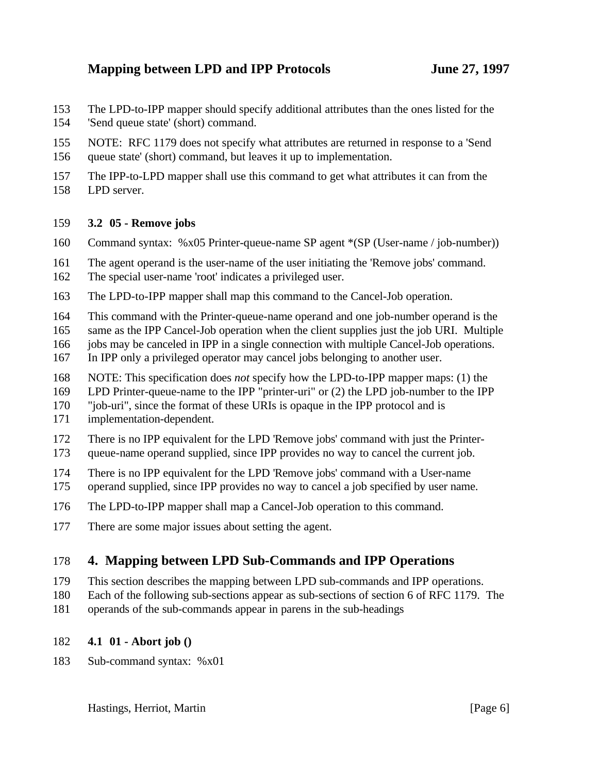- The LPD-to-IPP mapper should specify additional attributes than the ones listed for the 'Send queue state' (short) command.
- NOTE: RFC 1179 does not specify what attributes are returned in response to a 'Send
- queue state' (short) command, but leaves it up to implementation.
- The IPP-to-LPD mapper shall use this command to get what attributes it can from the
- LPD server.

#### **3.2 05 - Remove jobs**

- Command syntax: %x05 Printer-queue-name SP agent \*(SP (User-name / job-number))
- The agent operand is the user-name of the user initiating the 'Remove jobs' command.
- The special user-name 'root' indicates a privileged user.
- The LPD-to-IPP mapper shall map this command to the Cancel-Job operation.
- This command with the Printer-queue-name operand and one job-number operand is the
- same as the IPP Cancel-Job operation when the client supplies just the job URI. Multiple
- 166 jobs may be canceled in IPP in a single connection with multiple Cancel-Job operations.
- In IPP only a privileged operator may cancel jobs belonging to another user.
- NOTE: This specification does *not* specify how the LPD-to-IPP mapper maps: (1) the
- LPD Printer-queue-name to the IPP "printer-uri" or (2) the LPD job-number to the IPP
- "job-uri", since the format of these URIs is opaque in the IPP protocol and is
- implementation-dependent.
- There is no IPP equivalent for the LPD 'Remove jobs' command with just the Printer-
- queue-name operand supplied, since IPP provides no way to cancel the current job.
- There is no IPP equivalent for the LPD 'Remove jobs' command with a User-name
- operand supplied, since IPP provides no way to cancel a job specified by user name.
- The LPD-to-IPP mapper shall map a Cancel-Job operation to this command.
- There are some major issues about setting the agent.

## **4. Mapping between LPD Sub-Commands and IPP Operations**

- This section describes the mapping between LPD sub-commands and IPP operations.
- Each of the following sub-sections appear as sub-sections of section 6 of RFC 1179. The
- operands of the sub-commands appear in parens in the sub-headings
- **4.1 01 Abort job ()**
- Sub-command syntax: %x01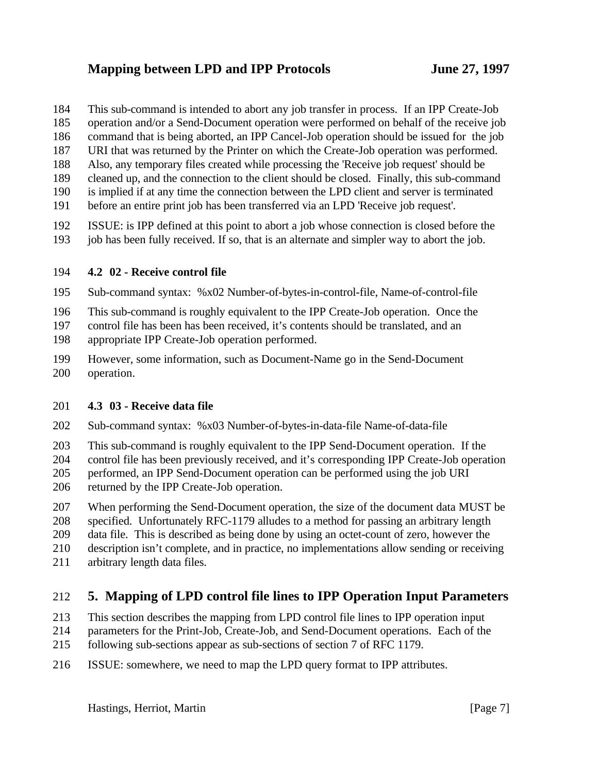- This sub-command is intended to abort any job transfer in process. If an IPP Create-Job
- operation and/or a Send-Document operation were performed on behalf of the receive job
- command that is being aborted, an IPP Cancel-Job operation should be issued for the job
- URI that was returned by the Printer on which the Create-Job operation was performed.
- Also, any temporary files created while processing the 'Receive job request' should be
- cleaned up, and the connection to the client should be closed. Finally, this sub-command is implied if at any time the connection between the LPD client and server is terminated
- before an entire print job has been transferred via an LPD 'Receive job request'.
- ISSUE: is IPP defined at this point to abort a job whose connection is closed before the
- 193 job has been fully received. If so, that is an alternate and simpler way to abort the job.

# **4.2 02 - Receive control file**

- Sub-command syntax: %x02 Number-of-bytes-in-control-file, Name-of-control-file
- This sub-command is roughly equivalent to the IPP Create-Job operation. Once the
- control file has been has been received, it's contents should be translated, and an
- appropriate IPP Create-Job operation performed.
- However, some information, such as Document-Name go in the Send-Document operation.

# **4.3 03 - Receive data file**

- Sub-command syntax: %x03 Number-of-bytes-in-data-file Name-of-data-file
- This sub-command is roughly equivalent to the IPP Send-Document operation. If the
- control file has been previously received, and it's corresponding IPP Create-Job operation
- performed, an IPP Send-Document operation can be performed using the job URI
- returned by the IPP Create-Job operation.
- When performing the Send-Document operation, the size of the document data MUST be
- specified. Unfortunately RFC-1179 alludes to a method for passing an arbitrary length
- data file. This is described as being done by using an octet-count of zero, however the
- description isn't complete, and in practice, no implementations allow sending or receiving
- arbitrary length data files.

# **5. Mapping of LPD control file lines to IPP Operation Input Parameters**

- This section describes the mapping from LPD control file lines to IPP operation input
- parameters for the Print-Job, Create-Job, and Send-Document operations. Each of the
- following sub-sections appear as sub-sections of section 7 of RFC 1179.
- ISSUE: somewhere, we need to map the LPD query format to IPP attributes.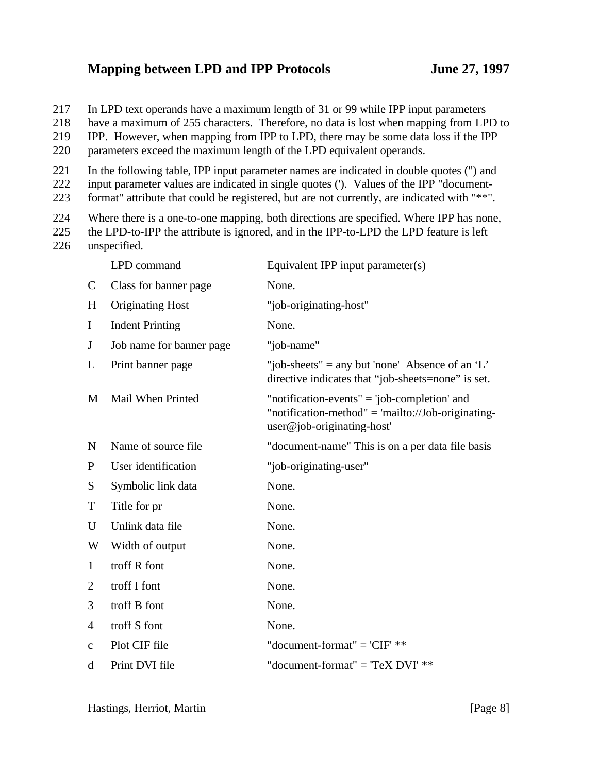217 In LPD text operands have a maximum length of 31 or 99 while IPP input parameters

218 have a maximum of 255 characters. Therefore, no data is lost when mapping from LPD to

219 IPP. However, when mapping from IPP to LPD, there may be some data loss if the IPP

220 parameters exceed the maximum length of the LPD equivalent operands.

221 In the following table, IPP input parameter names are indicated in double quotes (") and 222 input parameter values are indicated in single quotes ('). Values of the IPP "document-

223 format" attribute that could be registered, but are not currently, are indicated with "\*\*".

224 Where there is a one-to-one mapping, both directions are specified. Where IPP has none, 225 the LPD-to-IPP the attribute is ignored, and in the IPP-to-LPD the LPD feature is left 226 unspecified.

|                | LPD command              | Equivalent IPP input parameter(s)                                                                                                  |
|----------------|--------------------------|------------------------------------------------------------------------------------------------------------------------------------|
| $\mathcal{C}$  | Class for banner page    | None.                                                                                                                              |
| H              | <b>Originating Host</b>  | "job-originating-host"                                                                                                             |
| $\bf{I}$       | <b>Indent Printing</b>   | None.                                                                                                                              |
| $\mathbf J$    | Job name for banner page | "job-name"                                                                                                                         |
| L              | Print banner page        | "job-sheets" = any but 'none' Absence of an 'L'<br>directive indicates that "job-sheets=none" is set.                              |
| M              | Mail When Printed        | "notification-events" = 'job-completion' and<br>"notification-method" = 'mailto://Job-originating-<br>$user@job-originating-host'$ |
| $\mathbf N$    | Name of source file      | "document-name" This is on a per data file basis                                                                                   |
| $\mathbf{P}$   | User identification      | "job-originating-user"                                                                                                             |
| S              | Symbolic link data       | None.                                                                                                                              |
| T              | Title for pr             | None.                                                                                                                              |
| U              | Unlink data file         | None.                                                                                                                              |
| W              | Width of output          | None.                                                                                                                              |
| $\mathbf{1}$   | troff R font             | None.                                                                                                                              |
| $\overline{2}$ | troff I font             | None.                                                                                                                              |
| 3              | troff B font             | None.                                                                                                                              |
| 4              | troff S font             | None.                                                                                                                              |
| $\mathbf c$    | Plot CIF file            | "document-format" = $'CIF'$ **                                                                                                     |
| d              | Print DVI file           | "document-format" = "TeX $DVI$ "**                                                                                                 |

Hastings, Herriot, Martin [Page 8]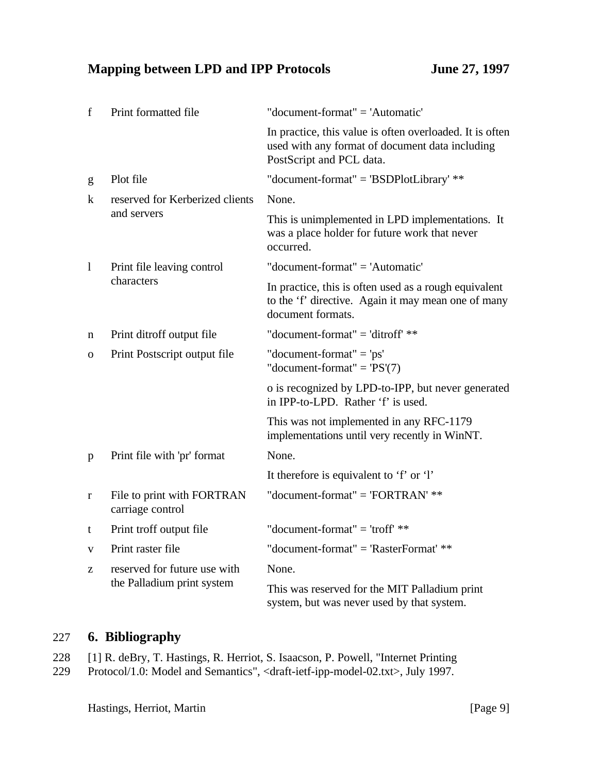| $\mathbf f$  | Print formatted file                           | "document-format" = 'Automatic'                                                                                                         |
|--------------|------------------------------------------------|-----------------------------------------------------------------------------------------------------------------------------------------|
|              |                                                | In practice, this value is often overloaded. It is often<br>used with any format of document data including<br>PostScript and PCL data. |
| g            | Plot file                                      | "document-format" = 'BSDPlotLibrary' **                                                                                                 |
| $\bf k$      | reserved for Kerberized clients                | None.                                                                                                                                   |
|              | and servers                                    | This is unimplemented in LPD implementations. It<br>was a place holder for future work that never<br>occurred.                          |
| $\mathbf{1}$ | Print file leaving control<br>characters       | "document-format" = 'Automatic'                                                                                                         |
|              |                                                | In practice, this is often used as a rough equivalent<br>to the 'f' directive. Again it may mean one of many<br>document formats.       |
| n            | Print ditroff output file                      | "document-format" = 'ditroff' $**$                                                                                                      |
| $\mathbf{O}$ | Print Postscript output file                   | "document-format" = 'ps'<br>"document-format" = $PS'(7)$                                                                                |
|              |                                                | o is recognized by LPD-to-IPP, but never generated<br>in IPP-to-LPD. Rather 'f' is used.                                                |
|              |                                                | This was not implemented in any RFC-1179<br>implementations until very recently in WinNT.                                               |
| p            | Print file with 'pr' format                    | None.                                                                                                                                   |
|              |                                                | It therefore is equivalent to 'f' or 'l'                                                                                                |
| r            | File to print with FORTRAN<br>carriage control | "document-format" = 'FORTRAN' **                                                                                                        |
| t            | Print troff output file                        | "document-format" = 'troff' $**$                                                                                                        |
| V            | Print raster file                              | "document-format" = 'RasterFormat' **                                                                                                   |
| Z            | reserved for future use with                   | None.                                                                                                                                   |
|              | the Palladium print system                     | This was reserved for the MIT Palladium print<br>system, but was never used by that system.                                             |

# 227 **6. Bibliography**

|  |  |  | 228 [1] R. deBry, T. Hastings, R. Herriot, S. Isaacson, P. Powell, "Internet Printing |
|--|--|--|---------------------------------------------------------------------------------------|

229 Protocol/1.0: Model and Semantics", <draft-ietf-ipp-model-02.txt>, July 1997.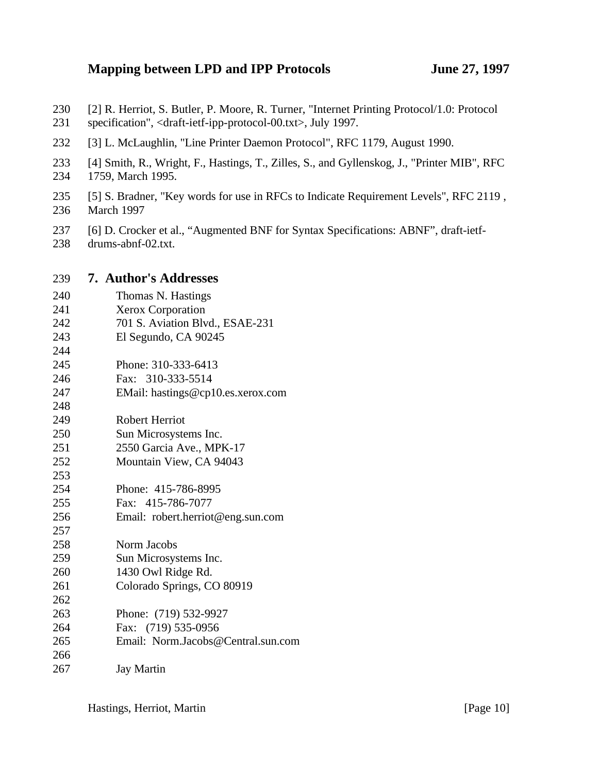- [2] R. Herriot, S. Butler, P. Moore, R. Turner, "Internet Printing Protocol/1.0: Protocol specification", <draft-ietf-ipp-protocol-00.txt>, July 1997.
- [3] L. McLaughlin, "Line Printer Daemon Protocol", RFC 1179, August 1990.
- [4] Smith, R., Wright, F., Hastings, T., Zilles, S., and Gyllenskog, J., "Printer MIB", RFC 1759, March 1995.
- [5] S. Bradner, "Key words for use in RFCs to Indicate Requirement Levels", RFC 2119 , March 1997
- [6] D. Crocker et al., "Augmented BNF for Syntax Specifications: ABNF", draft-ietf-
- drums-abnf-02.txt.

## **7. Author's Addresses**

| 240 | Thomas N. Hastings                 |
|-----|------------------------------------|
| 241 | <b>Xerox Corporation</b>           |
| 242 | 701 S. Aviation Blvd., ESAE-231    |
| 243 | El Segundo, CA 90245               |
| 244 |                                    |
| 245 | Phone: 310-333-6413                |
| 246 | Fax: 310-333-5514                  |
| 247 | EMail: hastings@cp10.es.xerox.com  |
| 248 |                                    |
| 249 | <b>Robert Herriot</b>              |
| 250 | Sun Microsystems Inc.              |
| 251 | 2550 Garcia Ave., MPK-17           |
| 252 | Mountain View, CA 94043            |
| 253 |                                    |
| 254 | Phone: 415-786-8995                |
| 255 | Fax: 415-786-7077                  |
| 256 | Email: robert.herriot@eng.sun.com  |
| 257 |                                    |
| 258 | Norm Jacobs                        |
| 259 | Sun Microsystems Inc.              |
| 260 | 1430 Owl Ridge Rd.                 |
| 261 | Colorado Springs, CO 80919         |
| 262 |                                    |
| 263 | Phone: (719) 532-9927              |
| 264 | Fax: (719) 535-0956                |
| 265 | Email: Norm.Jacobs@Central.sun.com |
| 266 |                                    |
| 267 | <b>Jay Martin</b>                  |